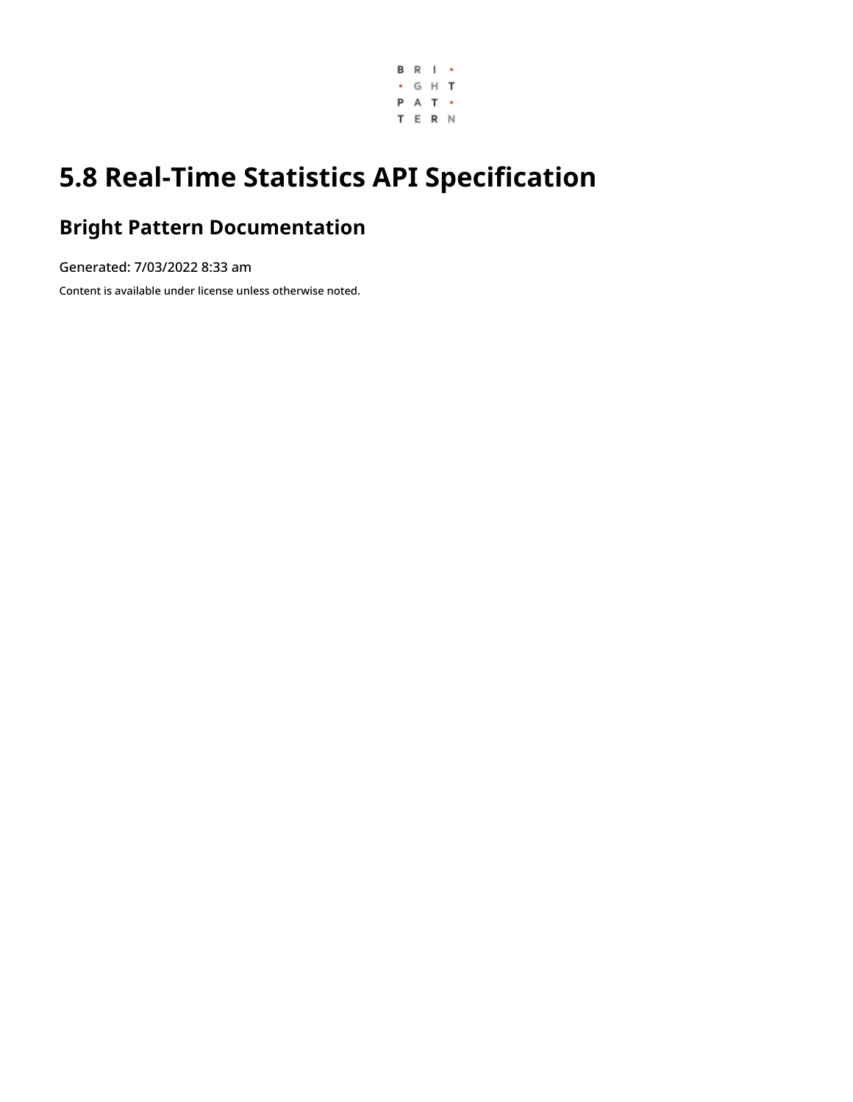

# **5.8 Real-Time Statistics API Specification**

## **Bright Pattern Documentation**

Generated: 7/03/2022 8:33 am

Content is available under license unless otherwise noted.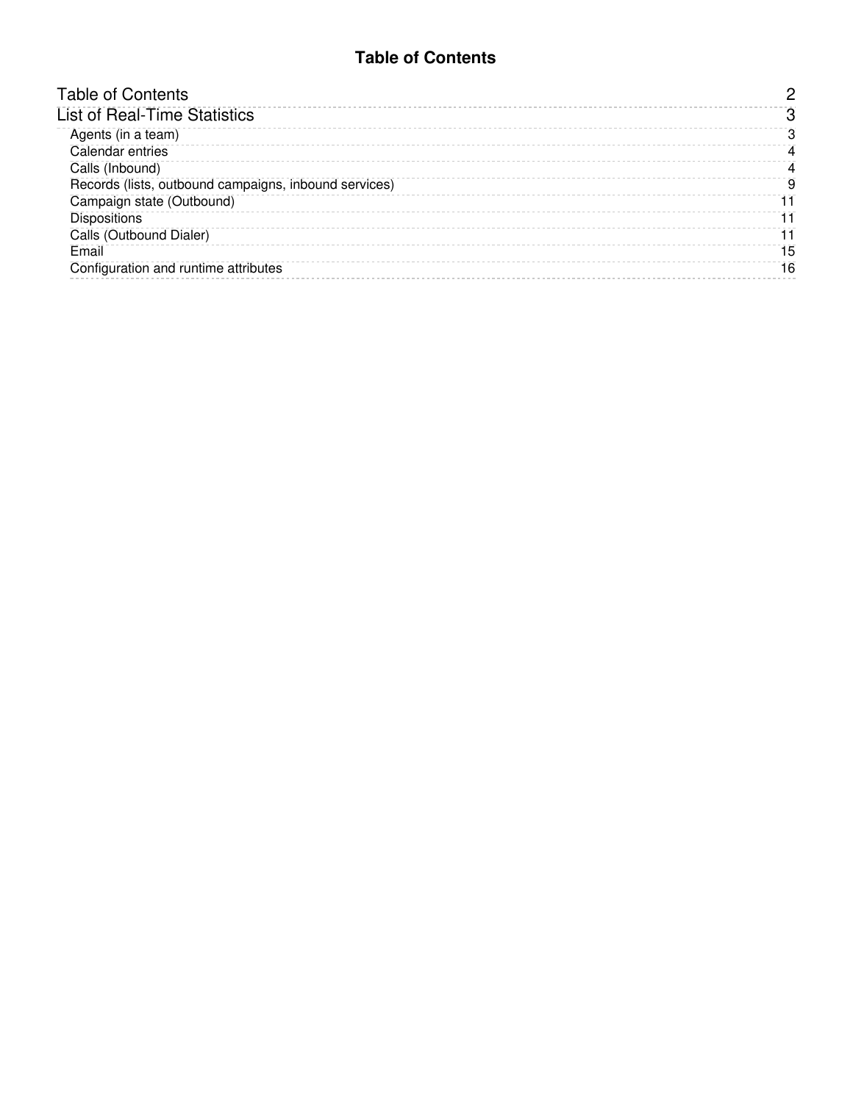#### **Table of Contents**

<span id="page-1-0"></span>

| <b>Table of Contents</b>                              |    |
|-------------------------------------------------------|----|
| <b>List of Real-Time Statistics</b>                   |    |
| Agents (in a team)                                    | З  |
| Calendar entries                                      | 4  |
| Calls (Inbound)                                       | 4  |
| Records (lists, outbound campaigns, inbound services) | 9  |
| Campaign state (Outbound)                             |    |
| <b>Dispositions</b>                                   |    |
| Calls (Outbound Dialer)                               |    |
| Email                                                 | 15 |
| Configuration and runtime attributes                  | 16 |
|                                                       |    |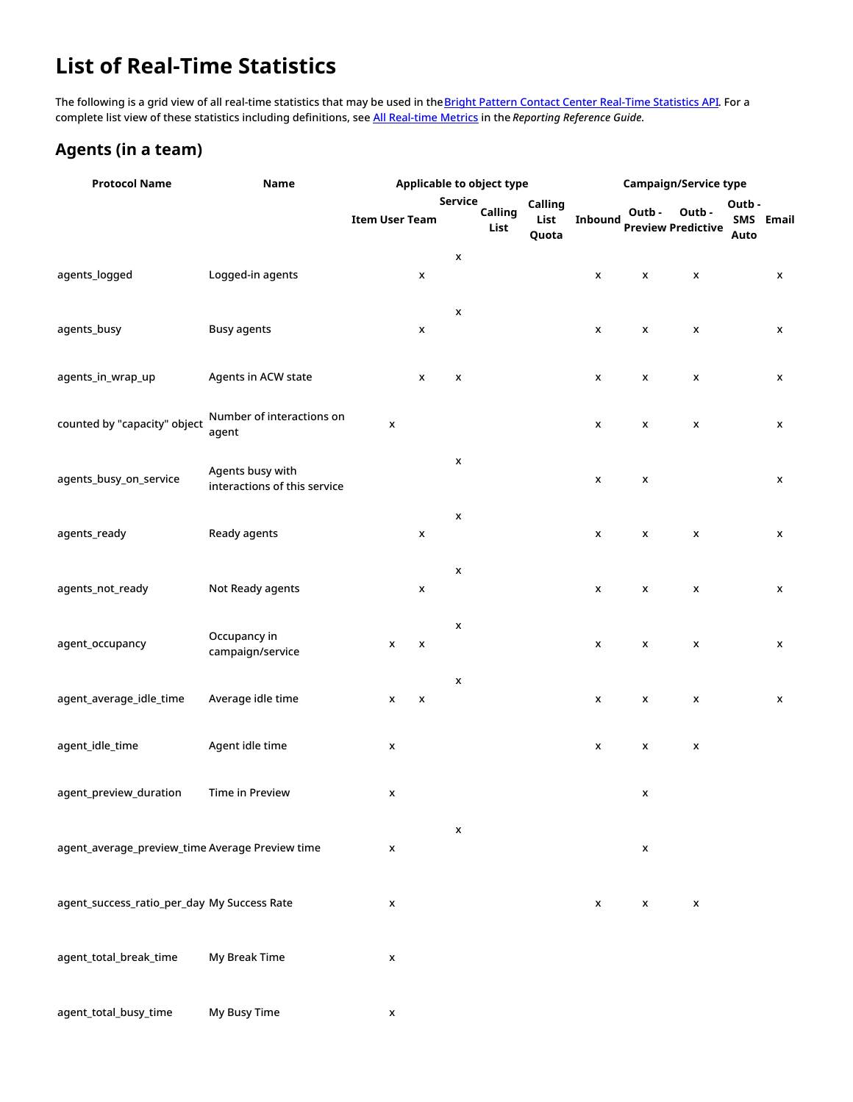## <span id="page-2-0"></span>**List of Real-Time Statistics**

The following is a grid view of all real-time statistics that may be used in the **Bright Pattern Contact Center [Real-Time](https://documenter.getpostman.com/view/6735878/T1DwbtSk?version=latest) Statistics API**. For a complete list view of these statistics including definitions, see All [Real-time](https://help.brightpattern.com/5.8:Reporting-reference-guide/AllMetrics#Wallboard_Metrics) Metrics in the *Reporting Reference Guide*.

#### <span id="page-2-1"></span>**Agents (in a team)**

| <b>Protocol Name</b>                            | Name                                             |                       |                    |                    | <b>Applicable to object type</b> |                          |                | <b>Campaign/Service type</b>       |                |                       |       |
|-------------------------------------------------|--------------------------------------------------|-----------------------|--------------------|--------------------|----------------------------------|--------------------------|----------------|------------------------------------|----------------|-----------------------|-------|
|                                                 |                                                  | <b>Item User Team</b> |                    | Service            | Calling<br>List                  | Calling<br>List<br>Quota | <b>Inbound</b> | Outb-<br><b>Preview Predictive</b> | Outb-          | Outb -<br>SMS<br>Auto | Email |
| agents_logged                                   | Logged-in agents                                 |                       | X                  | x                  |                                  |                          | x              | X                                  | $\pmb{\times}$ |                       | X     |
| agents_busy                                     | <b>Busy agents</b>                               |                       | X                  | x                  |                                  |                          | X              | X                                  | X              |                       | X     |
| agents_in_wrap_up                               | Agents in ACW state                              |                       | X                  | $\pmb{\mathsf{x}}$ |                                  |                          | x              | X                                  | $\pmb{\times}$ |                       | x     |
| counted by "capacity" object                    | Number of interactions on<br>agent               | x                     |                    |                    |                                  |                          | X              | X                                  | $\pmb{\times}$ |                       | X     |
| agents_busy_on_service                          | Agents busy with<br>interactions of this service |                       |                    | X                  |                                  |                          | x              | $\pmb{\mathsf{x}}$                 |                |                       | x     |
| agents_ready                                    | Ready agents                                     |                       | X                  | x                  |                                  |                          | X              | X                                  | X              |                       | X     |
| agents_not_ready                                | Not Ready agents                                 |                       | $\pmb{\mathsf{x}}$ | x                  |                                  |                          | X              | $\pmb{\mathsf{x}}$                 | $\pmb{\times}$ |                       | X     |
| agent_occupancy                                 | Occupancy in<br>campaign/service                 | x                     | x                  | X                  |                                  |                          | x              | X                                  | $\pmb{\times}$ |                       | x     |
| agent_average_idle_time                         | Average idle time                                | x                     | X                  | x                  |                                  |                          | X              | X                                  | X              |                       | X     |
| agent_idle_time                                 | Agent idle time                                  | x                     |                    |                    |                                  |                          | X              | $\pmb{\mathsf{x}}$                 | $\pmb{\times}$ |                       |       |
| agent_preview_duration                          | Time in Preview                                  | x                     |                    |                    |                                  |                          |                | X                                  |                |                       |       |
| agent_average_preview_time Average Preview time |                                                  | x                     |                    | X                  |                                  |                          |                | $\pmb{\mathsf{x}}$                 |                |                       |       |
| agent_success_ratio_per_day My Success Rate     |                                                  | X                     |                    |                    |                                  |                          | X              | X                                  | X              |                       |       |
| agent_total_break_time                          | My Break Time                                    | x                     |                    |                    |                                  |                          |                |                                    |                |                       |       |
| agent_total_busy_time                           | My Busy Time                                     | X                     |                    |                    |                                  |                          |                |                                    |                |                       |       |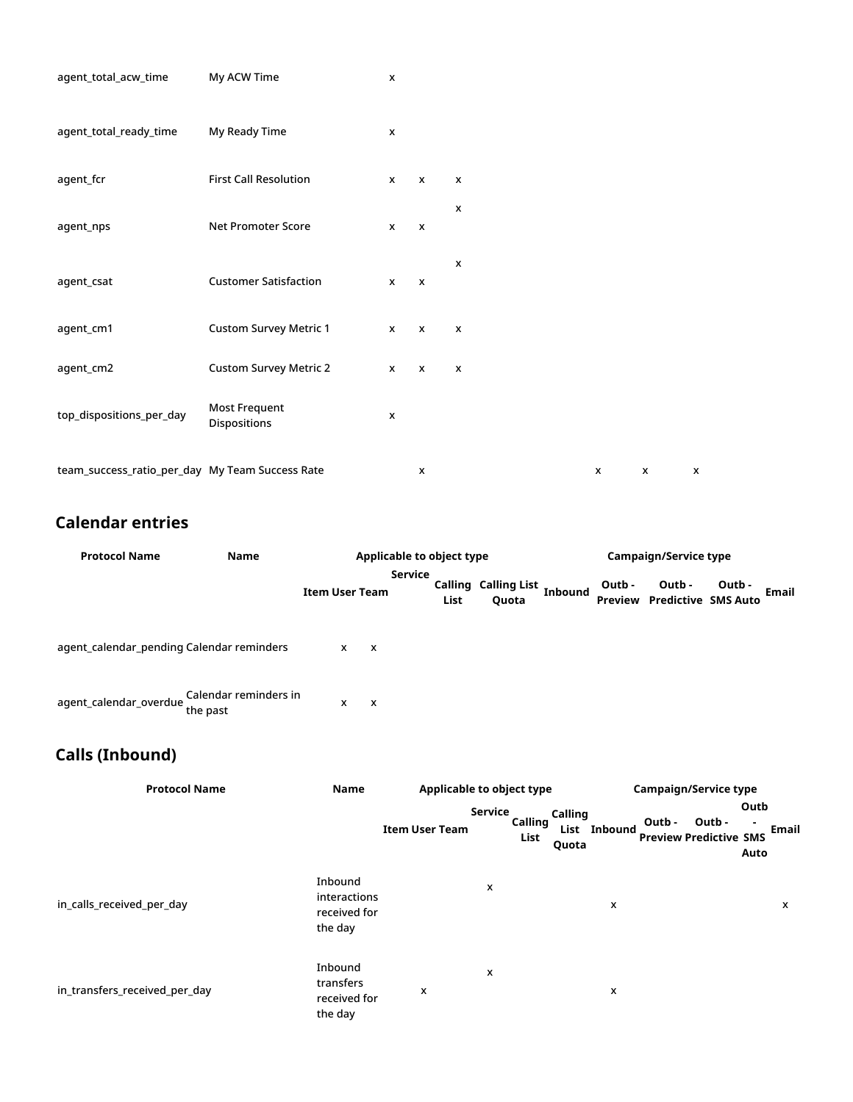| agent_total_acw_time                            | My ACW Time                          | X                  |                           |                           |              |                           |   |
|-------------------------------------------------|--------------------------------------|--------------------|---------------------------|---------------------------|--------------|---------------------------|---|
| agent_total_ready_time                          | My Ready Time                        | X                  |                           |                           |              |                           |   |
| agent_fcr                                       | <b>First Call Resolution</b>         | $\mathsf{x}$       | $\mathsf{x}$              | $\pmb{\chi}$              |              |                           |   |
| agent_nps                                       | Net Promoter Score                   | $\mathsf{x}$       | $\mathsf{x}$              | $\boldsymbol{\mathsf{x}}$ |              |                           |   |
| agent_csat                                      | <b>Customer Satisfaction</b>         | x                  | $\boldsymbol{\mathsf{x}}$ | X                         |              |                           |   |
| agent_cm1                                       | <b>Custom Survey Metric 1</b>        | $\mathsf{x}$       | $\mathsf{x}$              | $\pmb{\chi}$              |              |                           |   |
| agent_cm2                                       | <b>Custom Survey Metric 2</b>        | $\mathsf{x}$       | $\mathsf{x}$              | X                         |              |                           |   |
| top_dispositions_per_day                        | <b>Most Frequent</b><br>Dispositions | $\pmb{\mathsf{x}}$ |                           |                           |              |                           |   |
| team_success_ratio_per_day My Team Success Rate |                                      |                    | X                         |                           | $\mathsf{x}$ | $\boldsymbol{\mathsf{x}}$ | X |

#### <span id="page-3-0"></span>**Calendar entries**

| <b>Protocol Name</b>                      | Name                              | Applicable to object type |                |      |                                | Campaign/Service type |        |                                              |        |       |  |
|-------------------------------------------|-----------------------------------|---------------------------|----------------|------|--------------------------------|-----------------------|--------|----------------------------------------------|--------|-------|--|
|                                           |                                   | <b>Item User Team</b>     | <b>Service</b> | List | Calling Calling List,<br>Quota | <b>Inbound</b>        | Outb - | Outb -<br><b>Preview Predictive SMS Auto</b> | Outb - | Email |  |
| agent_calendar_pending Calendar reminders |                                   | $\mathsf{x}$              | $\mathsf{x}$   |      |                                |                       |        |                                              |        |       |  |
| agent_calendar_overdue                    | Calendar reminders in<br>the past | x                         | $\mathbf{x}$   |      |                                |                       |        |                                              |        |       |  |

### <span id="page-3-1"></span>**Calls (Inbound)**

| <b>Protocol Name</b>          | Name                                               | Applicable to object type |         |                 |                  | <b>Campaign/Service type</b> |        |                                         |              |       |
|-------------------------------|----------------------------------------------------|---------------------------|---------|-----------------|------------------|------------------------------|--------|-----------------------------------------|--------------|-------|
|                               |                                                    | <b>Item User Team</b>     | Service | Calling<br>List | Calling<br>Quota | List Inbound                 | Outb - | Outb -<br><b>Preview Predictive SMS</b> | Outb<br>Auto | Email |
| in calls received per day     | Inbound<br>interactions<br>received for<br>the day |                           | x       |                 |                  | x                            |        |                                         |              | x     |
| in_transfers_received_per_day | Inbound<br>transfers<br>received for<br>the day    | x                         | x       |                 |                  | x                            |        |                                         |              |       |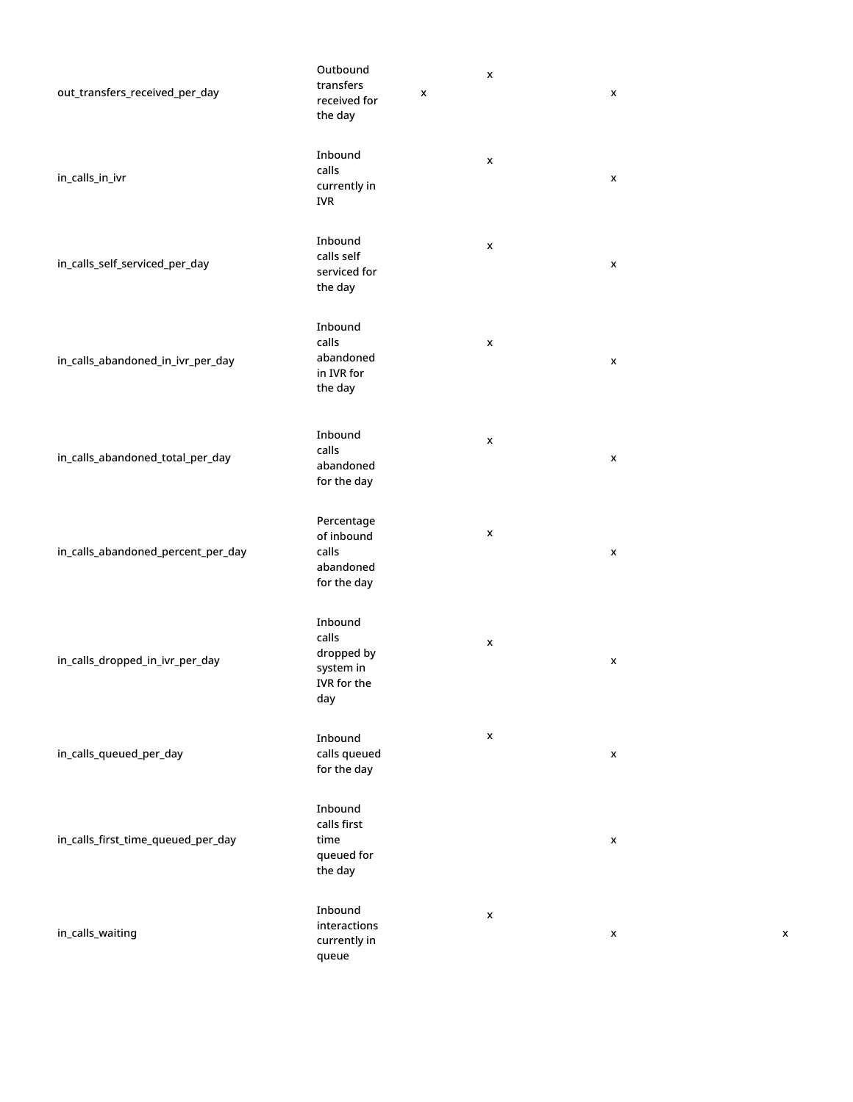| out_transfers_received_per_day     | Outbound<br>transfers<br>received for<br>the day                  | X | x                  | x |
|------------------------------------|-------------------------------------------------------------------|---|--------------------|---|
| in_calls_in_ivr                    | Inbound<br>calls<br>currently in<br><b>IVR</b>                    |   | X                  | x |
| in_calls_self_serviced_per_day     | Inbound<br>calls self<br>serviced for<br>the day                  |   | $\pmb{\mathsf{x}}$ | X |
| in_calls_abandoned_in_ivr_per_day  | Inbound<br>calls<br>abandoned<br>in IVR for<br>the day            |   | X                  | X |
| in_calls_abandoned_total_per_day   | Inbound<br>calls<br>abandoned<br>for the day                      |   | X                  | x |
| in_calls_abandoned_percent_per_day | Percentage<br>of inbound<br>calls<br>abandoned<br>for the day     |   | X                  | x |
| in_calls_dropped_in_ivr_per_day    | Inbound<br>calls<br>dropped by<br>system in<br>IVR for the<br>day |   | x                  | x |
| in_calls_queued_per_day            | Inbound<br>calls queued<br>for the day                            |   | X                  | x |
| in_calls_first_time_queued_per_day | Inbound<br>calls first<br>time<br>queued for<br>the day           |   |                    | x |
| in_calls_waiting                   | Inbound<br>interactions<br>currently in<br>queue                  |   | X                  | х |

x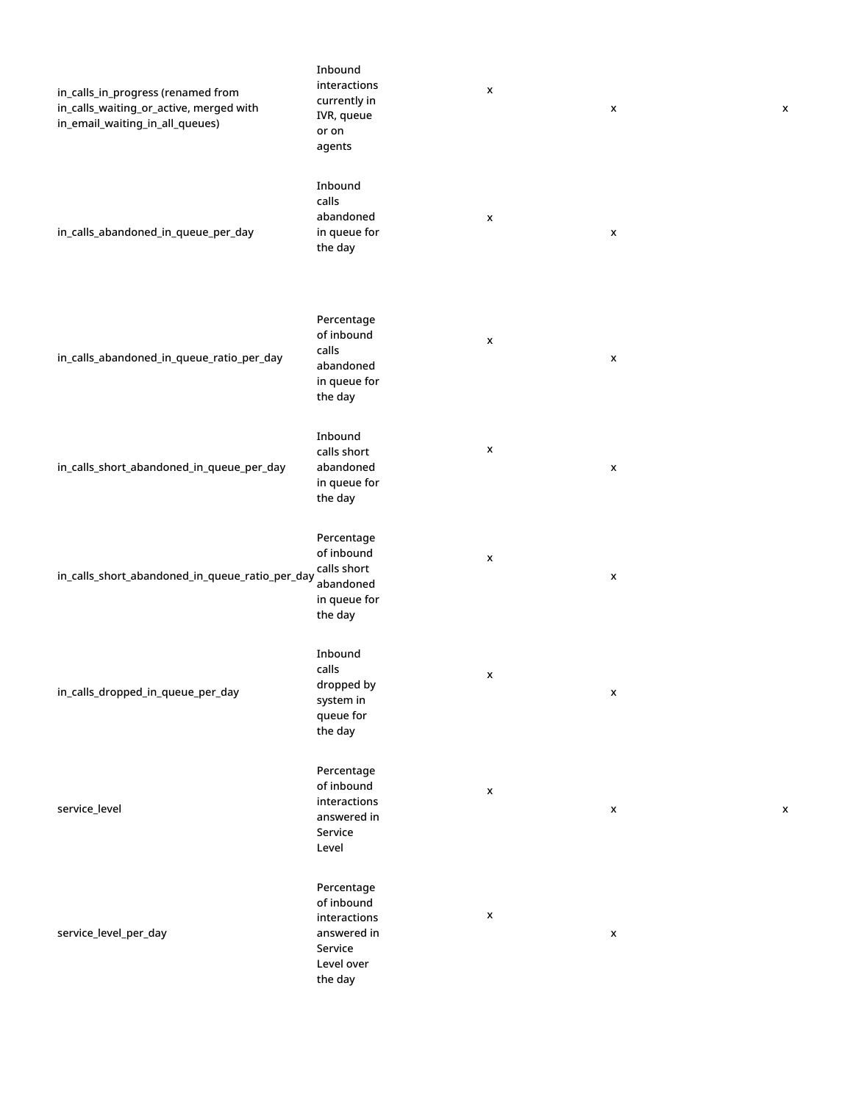| in_calls_in_progress (renamed from<br>in_calls_waiting_or_active, merged with<br>in_email_waiting_in_all_queues) | Inbound<br>interactions<br>currently in<br>IVR, queue<br>or on<br>agents                    | $\pmb{\mathsf{x}}$ | X                  | X |
|------------------------------------------------------------------------------------------------------------------|---------------------------------------------------------------------------------------------|--------------------|--------------------|---|
| in_calls_abandoned_in_queue_per_day                                                                              | Inbound<br>calls<br>abandoned<br>in queue for<br>the day                                    | X                  | $\pmb{\mathsf{x}}$ |   |
| in_calls_abandoned_in_queue_ratio_per_day                                                                        | Percentage<br>of inbound<br>calls<br>abandoned<br>in queue for<br>the day                   | $\pmb{\mathsf{x}}$ | $\pmb{\mathsf{x}}$ |   |
| in_calls_short_abandoned_in_queue_per_day                                                                        | Inbound<br>calls short<br>abandoned<br>in queue for<br>the day                              | $\pmb{\mathsf{x}}$ | $\pmb{\mathsf{x}}$ |   |
| in_calls_short_abandoned_in_queue_ratio_per_day                                                                  | Percentage<br>of inbound<br>calls short<br>abandoned<br>in queue for<br>the day             | $\pmb{\mathsf{x}}$ | $\pmb{\mathsf{x}}$ |   |
| in_calls_dropped_in_queue_per_day                                                                                | Inbound<br>calls<br>dropped by<br>system in<br>queue for<br>the day                         | $\pmb{\mathsf{x}}$ | x                  |   |
| service_level                                                                                                    | Percentage<br>of inbound<br>interactions<br>answered in<br>Service<br>Level                 | $\pmb{\mathsf{x}}$ | $\pmb{\mathsf{x}}$ | X |
| service_level_per_day                                                                                            | Percentage<br>of inbound<br>interactions<br>answered in<br>Service<br>Level over<br>the day | $\pmb{\mathsf{x}}$ | $\pmb{\mathsf{x}}$ |   |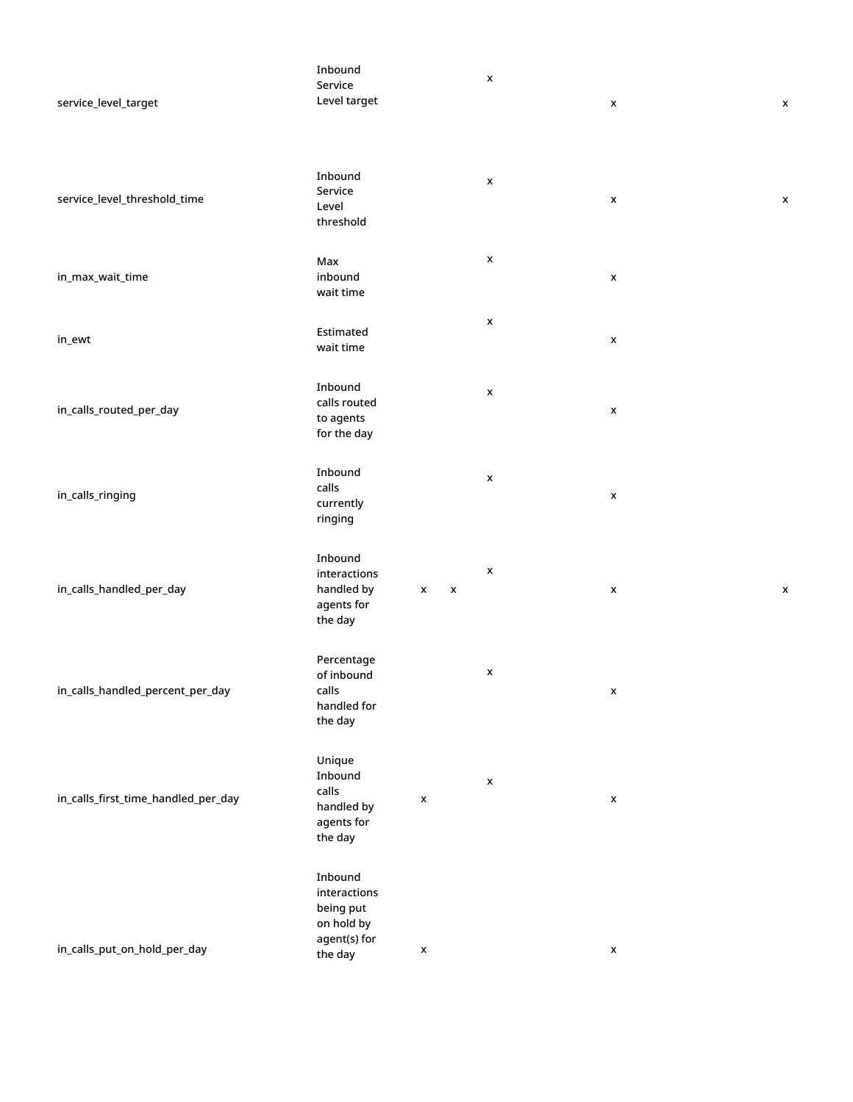| service_level_target                | Inbound<br>Service<br>Level target                                            |                                                 | $\pmb{\mathsf{x}}$ | $\pmb{\mathsf{x}}$ | X                  |
|-------------------------------------|-------------------------------------------------------------------------------|-------------------------------------------------|--------------------|--------------------|--------------------|
| service_level_threshold_time        | Inbound<br>Service<br>Level<br>threshold                                      |                                                 | $\pmb{\mathsf{x}}$ | $\pmb{\mathsf{x}}$ | X                  |
| in_max_wait_time                    | Max<br>inbound<br>wait time                                                   |                                                 | X                  | $\pmb{\mathsf{x}}$ |                    |
| in_ewt                              | Estimated<br>wait time                                                        |                                                 | $\pmb{\mathsf{x}}$ | $\pmb{\times}$     |                    |
| in_calls_routed_per_day             | Inbound<br>calls routed<br>to agents<br>for the day                           |                                                 | $\pmb{\mathsf{x}}$ | $\pmb{\times}$     |                    |
| in_calls_ringing                    | Inbound<br>calls<br>currently<br>ringing                                      |                                                 | $\pmb{\mathsf{x}}$ | $\pmb{\mathsf{x}}$ |                    |
| in_calls_handled_per_day            | Inbound<br>interactions<br>handled by<br>agents for<br>the day                | $\boldsymbol{\mathsf{x}}$<br>$\pmb{\mathsf{x}}$ | X                  | $\pmb{\mathsf{x}}$ | $\pmb{\mathsf{x}}$ |
| in_calls_handled_percent_per_day    | Percentage<br>of inbound<br>calls<br>handled for<br>the day                   |                                                 | X                  | $\pmb{\mathsf{x}}$ |                    |
| in_calls_first_time_handled_per_day | Unique<br>Inbound<br>calls<br>handled by<br>agents for<br>the day             | $\pmb{\mathsf{x}}$                              | $\pmb{\mathsf{x}}$ | $\pmb{\mathsf{x}}$ |                    |
| in_calls_put_on_hold_per_day        | Inbound<br>interactions<br>being put<br>on hold by<br>agent(s) for<br>the day | $\pmb{\mathsf{x}}$                              |                    | $\pmb{\mathsf{x}}$ |                    |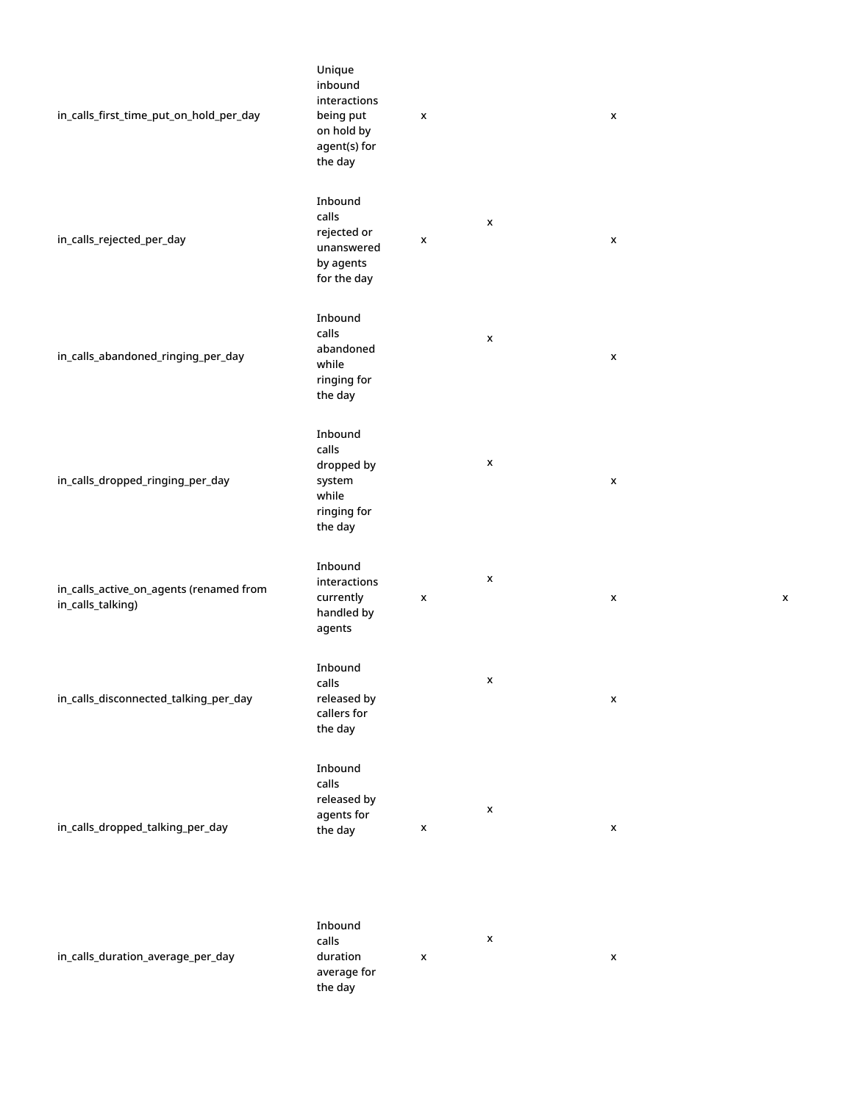| in_calls_first_time_put_on_hold_per_day                      | Unique<br>inbound<br>interactions<br>being put<br>on hold by<br>agent(s) for<br>the day | X                  |                    | X                  |  |
|--------------------------------------------------------------|-----------------------------------------------------------------------------------------|--------------------|--------------------|--------------------|--|
| in_calls_rejected_per_day                                    | Inbound<br>calls<br>rejected or<br>unanswered<br>by agents<br>for the day               | X                  | x                  | X                  |  |
| in_calls_abandoned_ringing_per_day                           | Inbound<br>calls<br>abandoned<br>while<br>ringing for<br>the day                        |                    | x                  | X                  |  |
| in_calls_dropped_ringing_per_day                             | Inbound<br>calls<br>dropped by<br>system<br>while<br>ringing for<br>the day             |                    | X                  | $\pmb{\times}$     |  |
| in_calls_active_on_agents (renamed from<br>in_calls_talking) | Inbound<br>interactions<br>currently<br>handled by<br>agents                            | X                  | x                  | X                  |  |
| in_calls_disconnected_talking_per_day                        | Inbound<br>calls<br>released by<br>callers for<br>the day                               |                    | x                  | $\pmb{\mathsf{x}}$ |  |
| in_calls_dropped_talking_per_day                             | Inbound<br>calls<br>released by<br>agents for<br>the day                                | x                  | x                  | $\pmb{\mathsf{x}}$ |  |
| in_calls_duration_average_per_day                            | Inbound<br>calls<br>duration<br>average for<br>the day                                  | $\pmb{\mathsf{x}}$ | $\pmb{\mathsf{x}}$ | $\pmb{\mathsf{x}}$ |  |

x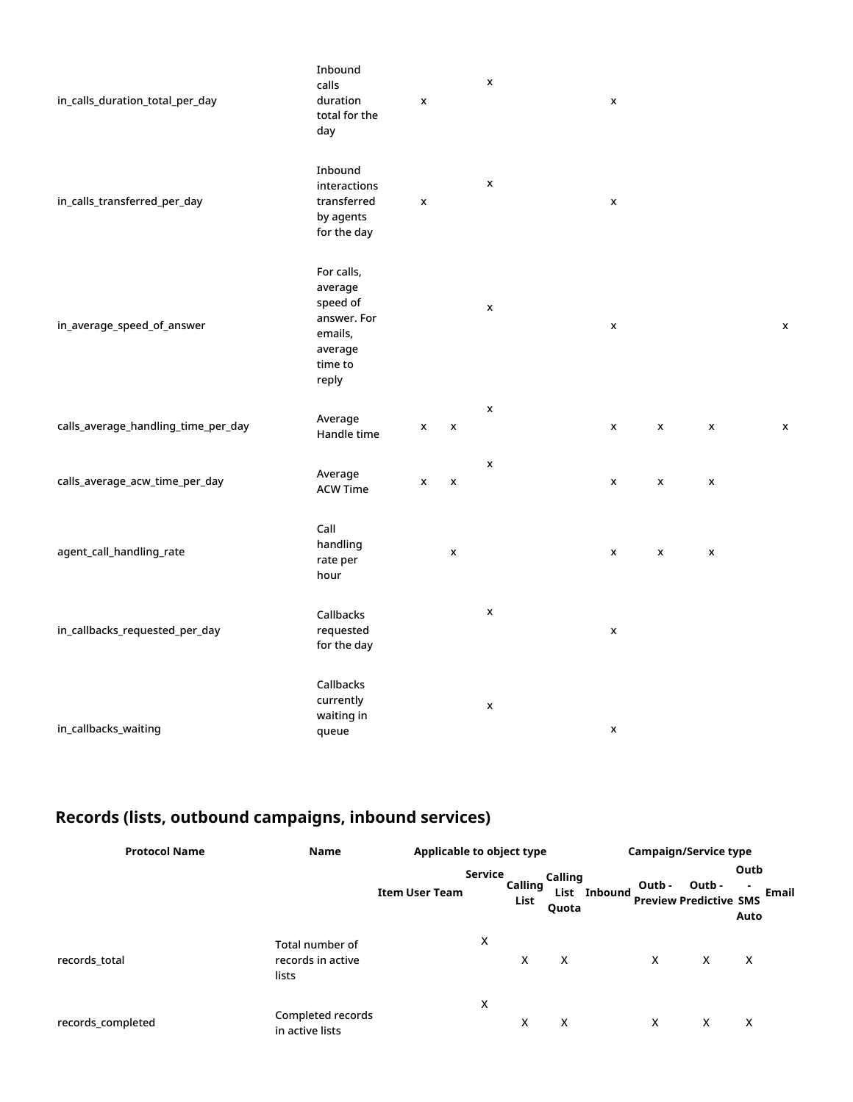| in_calls_duration_total_per_day     | Inbound<br>calls<br>duration<br>total for the<br>day                                       | $\pmb{\mathsf{x}}$ |                    | $\pmb{\mathsf{x}}$ | $\pmb{\mathsf{x}}$ |                    |                    |                    |
|-------------------------------------|--------------------------------------------------------------------------------------------|--------------------|--------------------|--------------------|--------------------|--------------------|--------------------|--------------------|
| in_calls_transferred_per_day        | Inbound<br>interactions<br>transferred<br>by agents<br>for the day                         | $\pmb{\mathsf{x}}$ |                    | $\pmb{\mathsf{x}}$ | $\pmb{\mathsf{x}}$ |                    |                    |                    |
| in_average_speed_of_answer          | For calls,<br>average<br>speed of<br>answer. For<br>emails,<br>average<br>time to<br>reply |                    |                    | $\pmb{\mathsf{x}}$ | $\pmb{\mathsf{x}}$ |                    |                    | $\pmb{\mathsf{x}}$ |
| calls_average_handling_time_per_day | Average<br>Handle time                                                                     | x                  | $\pmb{\mathsf{x}}$ | $\pmb{\mathsf{x}}$ | X                  | $\pmb{\mathsf{x}}$ | $\pmb{\mathsf{x}}$ | $\pmb{\mathsf{x}}$ |
| calls_average_acw_time_per_day      | Average<br><b>ACW Time</b>                                                                 | x                  | $\pmb{\mathsf{x}}$ | $\pmb{\mathsf{x}}$ | X                  | $\pmb{\mathsf{x}}$ | $\pmb{\mathsf{x}}$ |                    |
| agent_call_handling_rate            | Call<br>handling<br>rate per<br>hour                                                       |                    | x                  |                    | $\pmb{\mathsf{x}}$ | $\pmb{\mathsf{x}}$ | $\pmb{\mathsf{x}}$ |                    |
| in_callbacks_requested_per_day      | Callbacks<br>requested<br>for the day                                                      |                    |                    | $\pmb{\mathsf{x}}$ | $\pmb{\mathsf{x}}$ |                    |                    |                    |
| in_callbacks_waiting                | Callbacks<br>currently<br>waiting in<br>queue                                              |                    |                    | $\pmb{\mathsf{x}}$ | X                  |                    |                    |                    |

## <span id="page-8-0"></span>**Records (lists, outbound campaigns, inbound services)**

| <b>Protocol Name</b> | Name                                          | Applicable to object type |         |                 |                          |         | <b>Campaign/Service type</b> |                                         |                             |  |
|----------------------|-----------------------------------------------|---------------------------|---------|-----------------|--------------------------|---------|------------------------------|-----------------------------------------|-----------------------------|--|
|                      |                                               | <b>Item User Team</b>     | Service | Calling<br>List | Calling<br>List<br>Quota | Inbound | Outb -                       | Outb -<br><b>Preview Predictive SMS</b> | Outb<br>۰.<br>Email<br>Auto |  |
| records_total        | Total number of<br>records in active<br>lists |                           | х       | X               | x                        |         | X                            | X                                       | X                           |  |
| records_completed    | Completed records<br>in active lists          |                           | X       | X               | x                        |         | X                            | X                                       | X                           |  |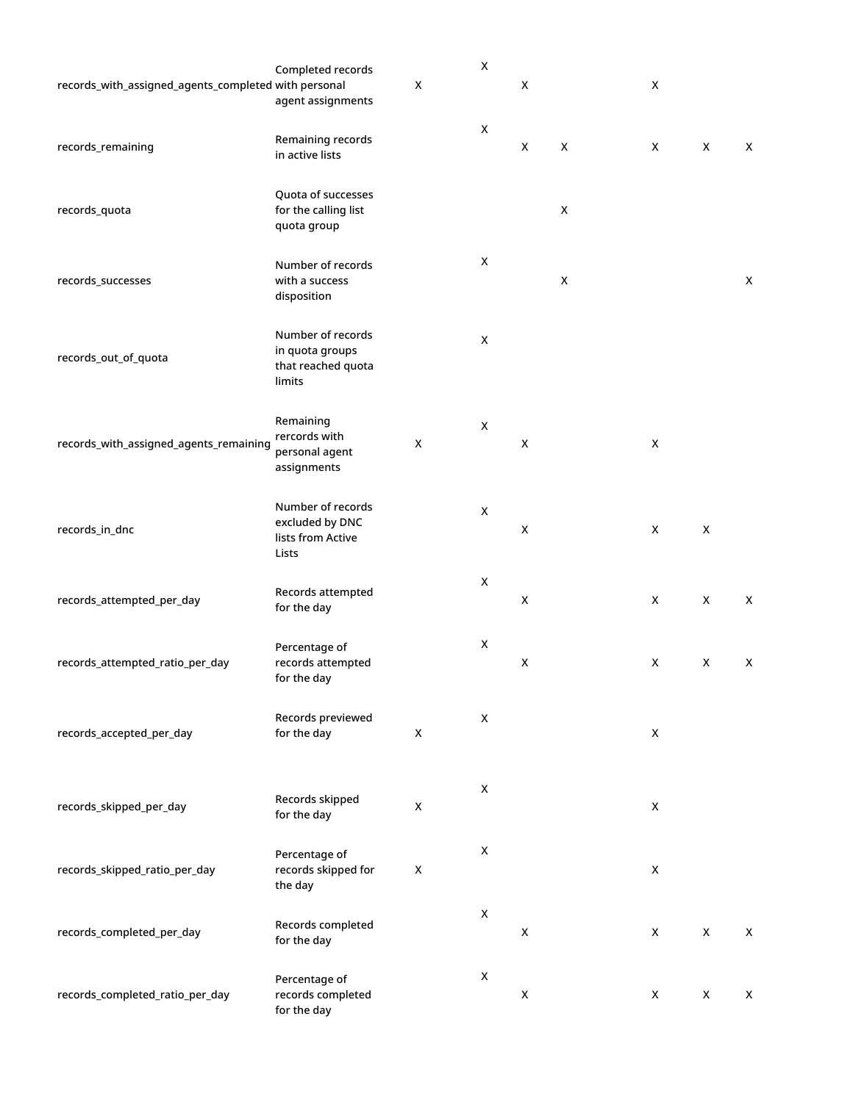| records_with_assigned_agents_completed with personal | Completed records<br>agent assignments                               | X                  | X                  | X                  |                    | X                  |             |                    |
|------------------------------------------------------|----------------------------------------------------------------------|--------------------|--------------------|--------------------|--------------------|--------------------|-------------|--------------------|
| records_remaining                                    | Remaining records<br>in active lists                                 |                    | $\mathsf X$        | $\pmb{\mathsf{X}}$ | $\pmb{\mathsf{X}}$ | X                  | X           | X                  |
| records_quota                                        | Quota of successes<br>for the calling list<br>quota group            |                    |                    |                    | X                  |                    |             |                    |
| records_successes                                    | Number of records<br>with a success<br>disposition                   |                    | $\pmb{\mathsf{X}}$ |                    | $\pmb{\mathsf{X}}$ |                    |             | $\pmb{\mathsf{X}}$ |
| records_out_of_quota                                 | Number of records<br>in quota groups<br>that reached quota<br>limits |                    | $\mathsf X$        |                    |                    |                    |             |                    |
| records_with_assigned_agents_remaining               | Remaining<br>rercords with<br>personal agent<br>assignments          | X                  | $\mathsf X$        | X                  |                    | X                  |             |                    |
| records_in_dnc                                       | Number of records<br>excluded by DNC<br>lists from Active<br>Lists   |                    | $\mathsf X$        | X                  |                    | X                  | $\mathsf X$ |                    |
| records_attempted_per_day                            | Records attempted<br>for the day                                     |                    | X                  | X                  |                    | X                  | X           | X                  |
| records_attempted_ratio_per_day                      | Percentage of<br>records attempted<br>for the day                    |                    | X                  | $\pmb{\mathsf{X}}$ |                    | X                  | X           | X                  |
| records_accepted_per_day                             | Records previewed<br>for the day                                     | $\pmb{\mathsf{X}}$ | $\pmb{\times}$     |                    |                    | $\pmb{\mathsf{X}}$ |             |                    |
| records_skipped_per_day                              | Records skipped<br>for the day                                       | $\pmb{\mathsf{X}}$ | $\pmb{\mathsf{X}}$ |                    |                    | $\pmb{\mathsf{X}}$ |             |                    |
| records_skipped_ratio_per_day                        | Percentage of<br>records skipped for<br>the day                      | $\pmb{\mathsf{X}}$ | $\pmb{\times}$     |                    |                    | $\pmb{\mathsf{X}}$ |             |                    |
| records_completed_per_day                            | Records completed<br>for the day                                     |                    | $\pmb{\times}$     | $\pmb{\mathsf{X}}$ |                    | X                  | X           | X                  |
| records_completed_ratio_per_day                      | Percentage of<br>records completed<br>for the day                    |                    | X                  | $\pmb{\mathsf{X}}$ |                    | X                  | X           | X                  |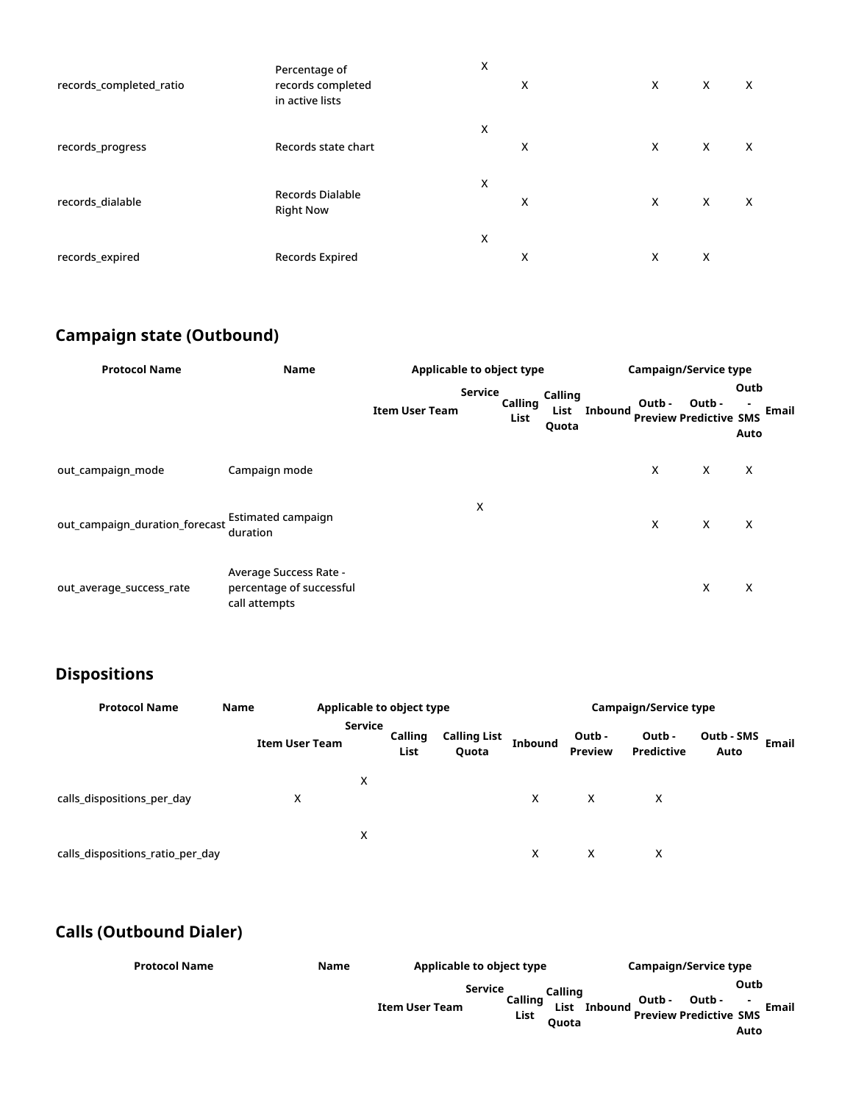| records_completed_ratio | Percentage of<br>records completed<br>in active lists | X | X | X | X | X |
|-------------------------|-------------------------------------------------------|---|---|---|---|---|
| records_progress        | Records state chart                                   | X | X | X | X | X |
| records_dialable        | <b>Records Dialable</b><br><b>Right Now</b>           | х | X | X | X | X |
| records_expired         | Records Expired                                       | X | х | X | X |   |

### <span id="page-10-0"></span>**Campaign state (Outbound)**

| <b>Protocol Name</b>           | <b>Name</b>                                                         | Applicable to object type        |                 |                                 | <b>Campaign/Service type</b> |        |                                         |              |       |
|--------------------------------|---------------------------------------------------------------------|----------------------------------|-----------------|---------------------------------|------------------------------|--------|-----------------------------------------|--------------|-------|
|                                |                                                                     | Service<br><b>Item User Team</b> | Calling<br>List | <b>Calling</b><br>List<br>Quota | <b>Inbound</b>               | Outb - | Outb -<br><b>Preview Predictive SMS</b> | Outb<br>Auto | Email |
| out campaign mode              | Campaign mode                                                       |                                  |                 |                                 |                              | Χ      | X                                       | Χ            |       |
| out_campaign_duration_forecast | Estimated campaign<br>duration                                      | х                                |                 |                                 |                              | X      | X                                       | $\times$     |       |
| out average success rate       | Average Success Rate -<br>percentage of successful<br>call attempts |                                  |                 |                                 |                              |        | X                                       | X            |       |

### <span id="page-10-1"></span>**Dispositions**

| <b>Protocol Name</b>             | Name | Applicable to object type |                |                 |                              | <b>Campaign/Service type</b> |                          |                             |                             |  |  |  |
|----------------------------------|------|---------------------------|----------------|-----------------|------------------------------|------------------------------|--------------------------|-----------------------------|-----------------------------|--|--|--|
|                                  |      | <b>Item User Team</b>     | <b>Service</b> | Calling<br>List | <b>Calling List</b><br>Quota | <b>Inbound</b>               | Outb -<br><b>Preview</b> | Outb -<br><b>Predictive</b> | Outb - SMS<br>Email<br>Auto |  |  |  |
| calls dispositions per day       |      | х                         | х              |                 |                              | X                            | X                        | X                           |                             |  |  |  |
| calls_dispositions_ratio_per_day |      |                           | x              |                 |                              | x                            | X                        | x                           |                             |  |  |  |

### <span id="page-10-2"></span>**Calls (Outbound Dialer)**

| <b>Protocol Name</b><br><b>Name</b> | Applicable to object type                                  | Campaign/Service type                                                                                                    |  |  |  |  |
|-------------------------------------|------------------------------------------------------------|--------------------------------------------------------------------------------------------------------------------------|--|--|--|--|
|                                     | <b>Service</b><br>Calling<br><b>Item User Team</b><br>List | Outb<br>Calling<br>Outb -<br>Outb -<br>Email<br><b>Inbound</b><br>List<br><b>Preview Predictive SMS</b><br>Ouota<br>Auto |  |  |  |  |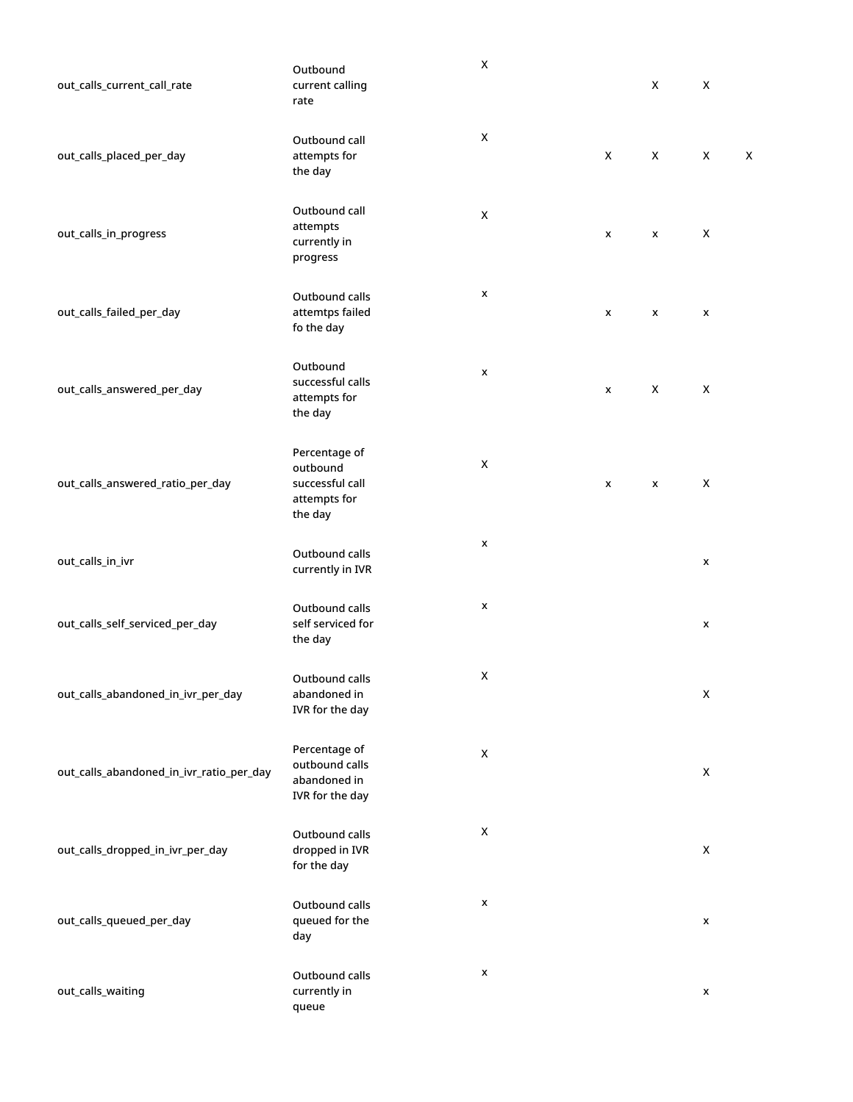| out_calls_current_call_rate              | Outbound<br>current calling<br>rate                                     | $\pmb{\mathsf{X}}$ |   | X | X                  |   |
|------------------------------------------|-------------------------------------------------------------------------|--------------------|---|---|--------------------|---|
| out_calls_placed_per_day                 | Outbound call<br>attempts for<br>the day                                | X                  | X | X | $\pmb{\mathsf{X}}$ | X |
| out_calls_in_progress                    | Outbound call<br>attempts<br>currently in<br>progress                   | X                  | X | X | X                  |   |
| out_calls_failed_per_day                 | Outbound calls<br>attemtps failed<br>fo the day                         | x                  | X | X | x                  |   |
| out_calls_answered_per_day               | Outbound<br>successful calls<br>attempts for<br>the day                 | x                  | x | X | $\pmb{\mathsf{X}}$ |   |
| out_calls_answered_ratio_per_day         | Percentage of<br>outbound<br>successful call<br>attempts for<br>the day | X                  | x | X | X                  |   |
| out_calls_in_ivr                         | Outbound calls<br>currently in IVR                                      | x                  |   |   | x                  |   |
| out_calls_self_serviced_per_day          | Outbound calls<br>self serviced for<br>the day                          | x                  |   |   | x                  |   |
| out_calls_abandoned_in_ivr_per_day       | Outbound calls<br>abandoned in<br>IVR for the day                       | X                  |   |   | $\mathsf X$        |   |
| out_calls_abandoned_in_ivr_ratio_per_day | Percentage of<br>outbound calls<br>abandoned in<br>IVR for the day      | X                  |   |   | $\pmb{\mathsf{X}}$ |   |
| out_calls_dropped_in_ivr_per_day         | Outbound calls<br>dropped in IVR<br>for the day                         | X                  |   |   | $\pmb{\mathsf{X}}$ |   |
| out_calls_queued_per_day                 | Outbound calls<br>queued for the<br>day                                 | x                  |   |   | $\pmb{\mathsf{x}}$ |   |
| out_calls_waiting                        | Outbound calls<br>currently in<br>queue                                 | x                  |   |   | $\pmb{\mathsf{x}}$ |   |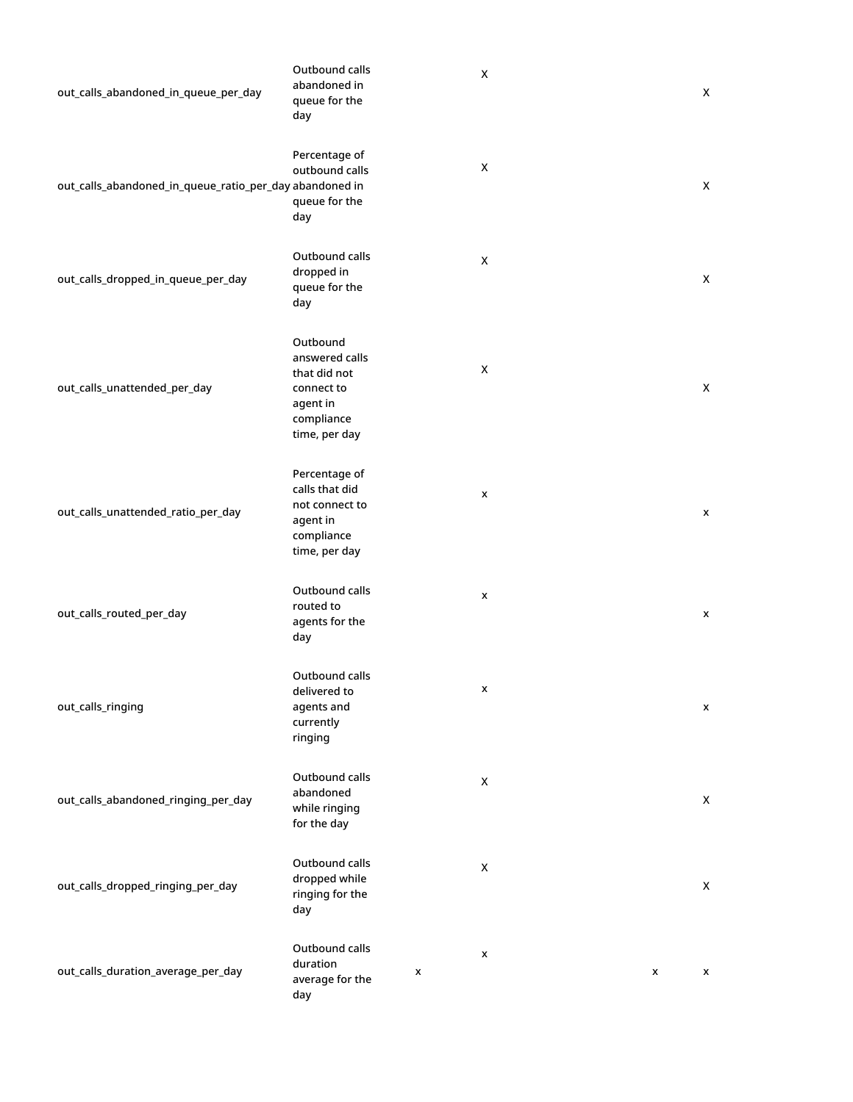| out_calls_abandoned_in_queue_per_day                    | Outbound calls<br>abandoned in<br>queue for the<br>day                                              | X                  | X                  |
|---------------------------------------------------------|-----------------------------------------------------------------------------------------------------|--------------------|--------------------|
| out_calls_abandoned_in_queue_ratio_per_day abandoned in | Percentage of<br>outbound calls<br>queue for the<br>day                                             | X                  | X                  |
| out_calls_dropped_in_queue_per_day                      | Outbound calls<br>dropped in<br>queue for the<br>day                                                | X                  | X                  |
| out_calls_unattended_per_day                            | Outbound<br>answered calls<br>that did not<br>connect to<br>agent in<br>compliance<br>time, per day | X                  | X                  |
| out_calls_unattended_ratio_per_day                      | Percentage of<br>calls that did<br>not connect to<br>agent in<br>compliance<br>time, per day        | X                  | x                  |
| out_calls_routed_per_day                                | Outbound calls<br>routed to<br>agents for the<br>day                                                | X                  | X                  |
| out_calls_ringing                                       | Outbound calls<br>delivered to<br>agents and<br>currently<br>ringing                                | x                  | X                  |
| out_calls_abandoned_ringing_per_day                     | Outbound calls<br>abandoned<br>while ringing<br>for the day                                         | $\mathsf X$        | $\pmb{\mathsf{X}}$ |
| out_calls_dropped_ringing_per_day                       | Outbound calls<br>dropped while<br>ringing for the<br>day                                           | $\pmb{\mathsf{X}}$ | X                  |
| out_calls_duration_average_per_day                      | Outbound calls<br>duration<br>x<br>average for the<br>day                                           | X<br>X             | x                  |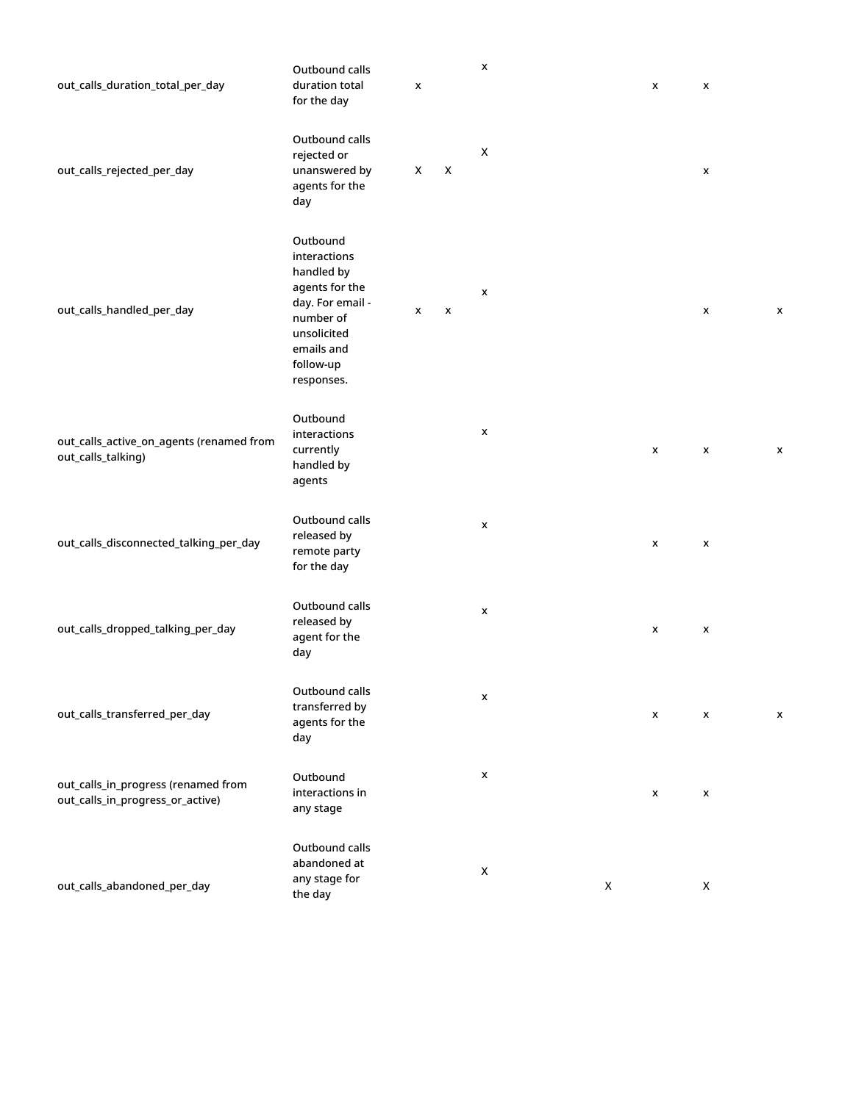| out_calls_duration_total_per_day                                        | Outbound calls<br>duration total<br>for the day                                                                                                   | x |   | X                  |                    | x | X                  |   |
|-------------------------------------------------------------------------|---------------------------------------------------------------------------------------------------------------------------------------------------|---|---|--------------------|--------------------|---|--------------------|---|
| out_calls_rejected_per_day                                              | Outbound calls<br>rejected or<br>unanswered by<br>agents for the<br>day                                                                           | X | X | X                  |                    |   | X                  |   |
| out_calls_handled_per_day                                               | Outbound<br>interactions<br>handled by<br>agents for the<br>day. For email -<br>number of<br>unsolicited<br>emails and<br>follow-up<br>responses. | x | X | X                  |                    |   | X                  | X |
| out_calls_active_on_agents (renamed from<br>out_calls_talking)          | Outbound<br>interactions<br>currently<br>handled by<br>agents                                                                                     |   |   | X                  |                    | X | X                  | X |
| out_calls_disconnected_talking_per_day                                  | Outbound calls<br>released by<br>remote party<br>for the day                                                                                      |   |   | X                  |                    | X | $\pmb{\mathsf{x}}$ |   |
| out_calls_dropped_talking_per_day                                       | Outbound calls<br>released by<br>agent for the<br>day                                                                                             |   |   | X                  |                    | x | X                  |   |
| out_calls_transferred_per_day                                           | Outbound calls<br>transferred by<br>agents for the<br>day                                                                                         |   |   | X                  |                    | X | X                  | X |
| out_calls_in_progress (renamed from<br>out_calls_in_progress_or_active) | Outbound<br>interactions in<br>any stage                                                                                                          |   |   | X                  |                    | X | X                  |   |
| out_calls_abandoned_per_day                                             | Outbound calls<br>abandoned at<br>any stage for<br>the day                                                                                        |   |   | $\pmb{\mathsf{X}}$ | $\pmb{\mathsf{X}}$ |   | $\pmb{\mathsf{X}}$ |   |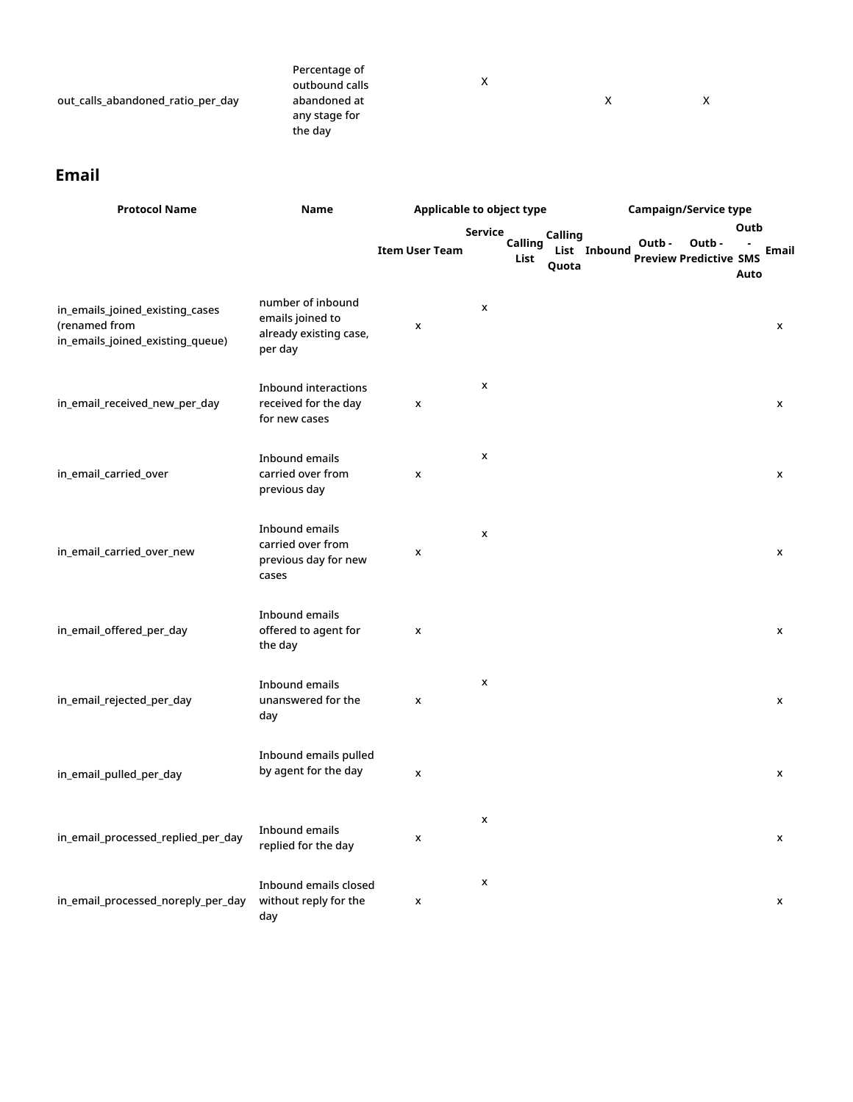| out_calls_abandoned_ratio_per_day | Percentage of<br>outbound calls<br>abandoned at<br>any stage for<br>the day | х |  | X |
|-----------------------------------|-----------------------------------------------------------------------------|---|--|---|
|-----------------------------------|-----------------------------------------------------------------------------|---|--|---|

#### <span id="page-14-0"></span>**Email**

| <b>Protocol Name</b>                                                                 | <b>Name</b>                                                                |                       | Applicable to object type  |                                  | <b>Campaign/Service type</b>                     |                              |  |  |
|--------------------------------------------------------------------------------------|----------------------------------------------------------------------------|-----------------------|----------------------------|----------------------------------|--------------------------------------------------|------------------------------|--|--|
|                                                                                      |                                                                            | <b>Item User Team</b> | Service<br>Calling<br>List | Calling<br>List Inbound<br>Quota | Outb -<br>Outb-<br><b>Preview Predictive SMS</b> | Outb<br><b>Email</b><br>Auto |  |  |
| in_emails_joined_existing_cases<br>(renamed from<br>in_emails_joined_existing_queue) | number of inbound<br>emails joined to<br>already existing case,<br>per day | x                     | $\pmb{\mathsf{x}}$         |                                  |                                                  | x                            |  |  |
| in_email_received_new_per_day                                                        | <b>Inbound interactions</b><br>received for the day<br>for new cases       | X                     | $\pmb{\mathsf{x}}$         |                                  |                                                  | x                            |  |  |
| in_email_carried_over                                                                | Inbound emails<br>carried over from<br>previous day                        | X                     | X                          |                                  |                                                  | X                            |  |  |
| in_email_carried_over_new                                                            | Inbound emails<br>carried over from<br>previous day for new<br>cases       | x                     | $\pmb{\mathsf{x}}$         |                                  |                                                  | X                            |  |  |
| in_email_offered_per_day                                                             | Inbound emails<br>offered to agent for<br>the day                          | x                     |                            |                                  |                                                  | x                            |  |  |
| in_email_rejected_per_day                                                            | Inbound emails<br>unanswered for the<br>day                                | x                     | $\pmb{\mathsf{x}}$         |                                  |                                                  | x                            |  |  |
| in_email_pulled_per_day                                                              | Inbound emails pulled<br>by agent for the day                              | x                     |                            |                                  |                                                  | x                            |  |  |
| in_email_processed_replied_per_day                                                   | Inbound emails<br>replied for the day                                      | X                     | $\pmb{\mathsf{x}}$         |                                  |                                                  | X                            |  |  |
| in_email_processed_noreply_per_day                                                   | Inbound emails closed<br>without reply for the<br>day                      | x                     | X                          |                                  |                                                  | X                            |  |  |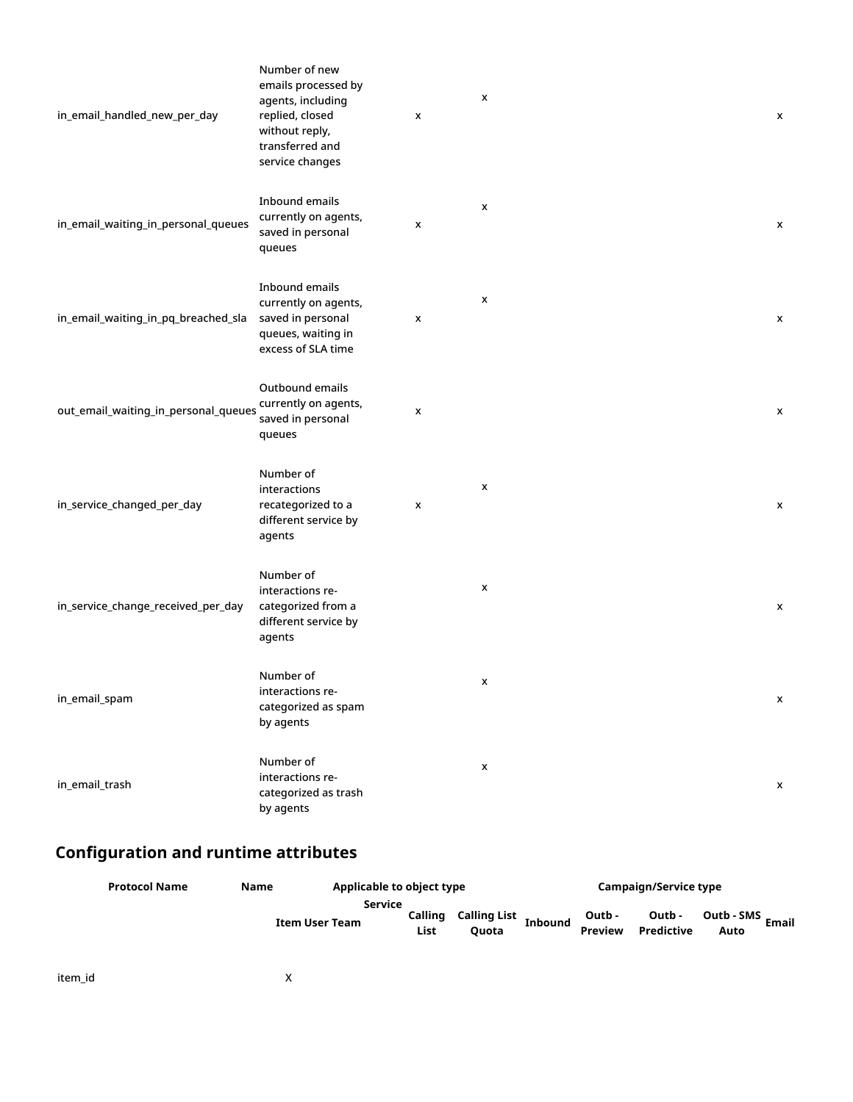| in_email_handled_new_per_day         | Number of new<br>emails processed by<br>agents, including<br>replied, closed<br>without reply,<br>transferred and<br>service changes | x | X                  | X            |
|--------------------------------------|--------------------------------------------------------------------------------------------------------------------------------------|---|--------------------|--------------|
| in_email_waiting_in_personal_queues  | Inbound emails<br>currently on agents,<br>saved in personal<br>queues                                                                | X | X                  | $\mathsf{x}$ |
| in_email_waiting_in_pq_breached_sla  | Inbound emails<br>currently on agents,<br>saved in personal<br>queues, waiting in<br>excess of SLA time                              | x | x                  | X            |
| out_email_waiting_in_personal_queues | Outbound emails<br>currently on agents,<br>saved in personal<br>queues                                                               | x |                    | X            |
| in_service_changed_per_day           | Number of<br>interactions<br>recategorized to a<br>different service by<br>agents                                                    | x | X                  | x            |
| in_service_change_received_per_day   | Number of<br>interactions re-<br>categorized from a<br>different service by<br>agents                                                |   | x                  | x            |
| in_email_spam                        | Number of<br>interactions re-<br>categorized as spam<br>by agents                                                                    |   | x                  | x            |
| in_email_trash                       | Number of<br>interactions re-<br>categorized as trash<br>by agents                                                                   |   | $\pmb{\mathsf{x}}$ | X            |

## <span id="page-15-0"></span>**Configuration and runtime attributes**

| <b>Protocol Name</b> | Name                  | Applicable to object type  |                              | Campaign/Service type |                          |                      |                    |              |  |
|----------------------|-----------------------|----------------------------|------------------------------|-----------------------|--------------------------|----------------------|--------------------|--------------|--|
|                      | <b>Item User Team</b> | Service<br>Calling<br>List | Calling List<br><b>Ouota</b> | <b>Inbound</b>        | Outb -<br><b>Preview</b> | Outb -<br>Predictive | Outb - SMS<br>Auto | <b>Email</b> |  |

item\_id X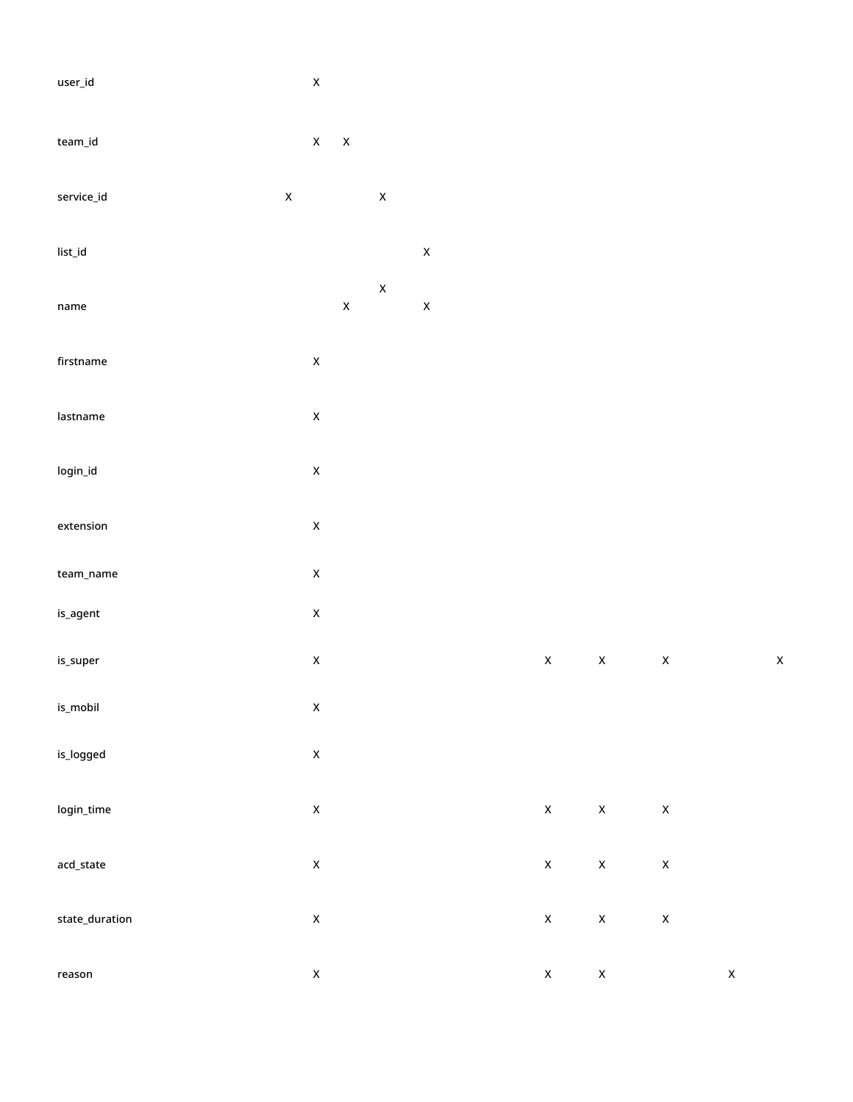| $\ensuremath{\mathsf{user\_id}}$   |             | $\pmb{\mathsf{x}}$ |                    |                    |                    |                    |                    |                    |                    |             |
|------------------------------------|-------------|--------------------|--------------------|--------------------|--------------------|--------------------|--------------------|--------------------|--------------------|-------------|
| team_id                            |             | $\mathsf X$        | $\pmb{\mathsf{x}}$ |                    |                    |                    |                    |                    |                    |             |
| service_id                         | $\mathsf X$ |                    |                    | $\pmb{\mathsf{X}}$ |                    |                    |                    |                    |                    |             |
| $\ensuremath{\mathsf{list\_id}}$   |             |                    |                    |                    | $\pmb{\mathsf{X}}$ |                    |                    |                    |                    |             |
| $\mathop{\mathsf{name}}$           |             |                    | $\mathsf X$        | $\pmb{\mathsf{X}}$ | $\pmb{\mathsf{X}}$ |                    |                    |                    |                    |             |
| $\operatorname{firstname}$         |             | $\pmb{\mathsf{x}}$ |                    |                    |                    |                    |                    |                    |                    |             |
| lastname                           |             | $\pmb{\mathsf{x}}$ |                    |                    |                    |                    |                    |                    |                    |             |
| $\operatorname{\sf login\_id}$     |             | $\pmb{\mathsf{x}}$ |                    |                    |                    |                    |                    |                    |                    |             |
| extension                          |             | $\pmb{\mathsf{x}}$ |                    |                    |                    |                    |                    |                    |                    |             |
| $\ensuremath{\mathsf{team\_name}}$ |             | $\pmb{\mathsf{x}}$ |                    |                    |                    |                    |                    |                    |                    |             |
| $\mathop{\mathsf{is\_agent}}$      |             | $\pmb{\mathsf{x}}$ |                    |                    |                    |                    |                    |                    |                    |             |
| is_super                           |             | $\pmb{\mathsf{x}}$ |                    |                    |                    | $\pmb{\mathsf{X}}$ | $\mathsf X$        | $\pmb{\mathsf{X}}$ |                    | $\mathsf X$ |
| $\mathsf{is\_mobil}$               |             | $\pmb{\mathsf{X}}$ |                    |                    |                    |                    |                    |                    |                    |             |
| is_logged                          |             | $\pmb{\mathsf{x}}$ |                    |                    |                    |                    |                    |                    |                    |             |
| login_time                         |             | $\pmb{\mathsf{x}}$ |                    |                    |                    | $\pmb{\mathsf{X}}$ | $\pmb{\mathsf{X}}$ | $\pmb{\mathsf{X}}$ |                    |             |
| acd_state                          |             | $\pmb{\mathsf{x}}$ |                    |                    |                    | $\pmb{\mathsf{X}}$ | $\mathsf X$        | $\mathsf X$        |                    |             |
| state_duration                     |             | $\pmb{\mathsf{x}}$ |                    |                    |                    | $\pmb{\mathsf{X}}$ | $\pmb{\mathsf{x}}$ | $\pmb{\mathsf{X}}$ |                    |             |
| reason                             |             | $\pmb{\mathsf{x}}$ |                    |                    |                    | $\pmb{\mathsf{X}}$ | $\pmb{\mathsf{X}}$ |                    | $\pmb{\mathsf{X}}$ |             |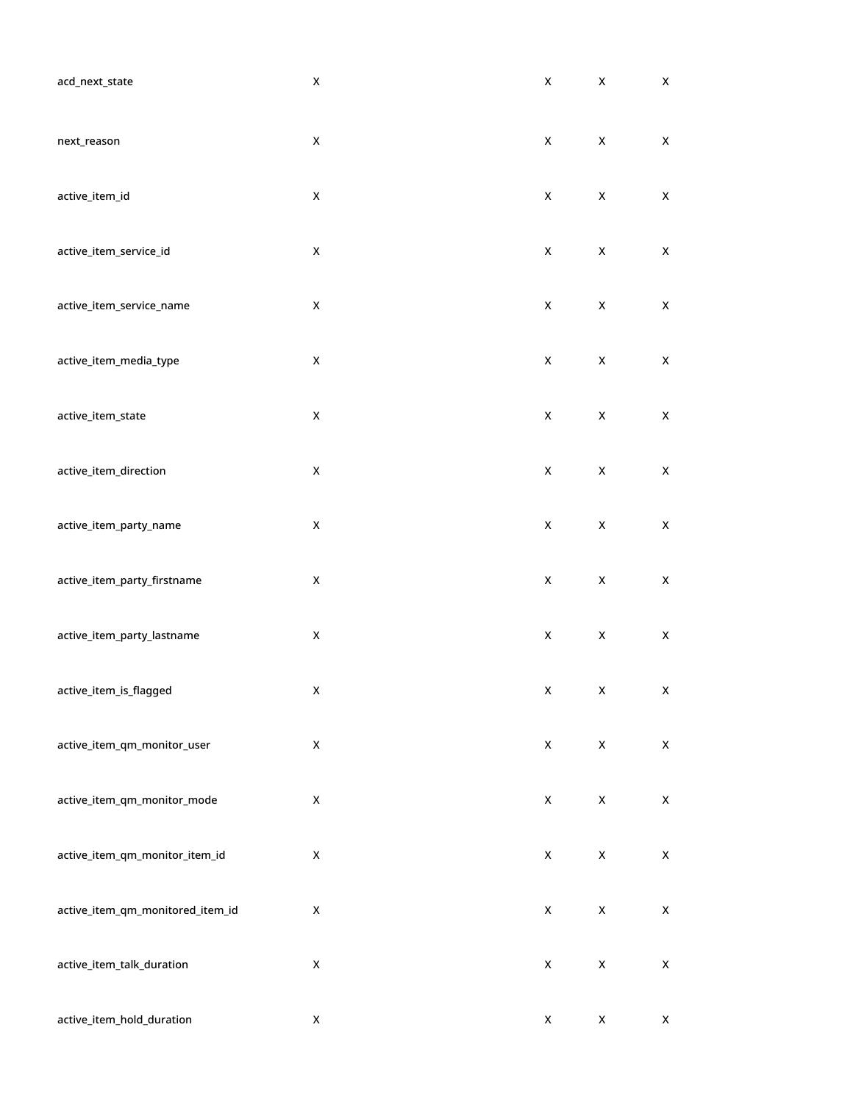| acd_next_state                   | $\pmb{\mathsf{X}}$ | $\pmb{\mathsf{X}}$ | $\pmb{\mathsf{X}}$ | $\pmb{\mathsf{X}}$ |
|----------------------------------|--------------------|--------------------|--------------------|--------------------|
| next_reason                      | $\pmb{\mathsf{X}}$ | $\mathsf X$        | $\mathsf X$        | $\mathsf X$        |
| active_item_id                   | $\mathsf X$        | $\mathsf X$        | $\mathsf X$        | $\pmb{\mathsf{X}}$ |
| active_item_service_id           | $\pmb{\mathsf{X}}$ | $\mathsf X$        | $\mathsf X$        | $\pmb{\mathsf{X}}$ |
| active_item_service_name         | $\pmb{\mathsf{X}}$ | $\mathsf X$        | $\pmb{\mathsf{X}}$ | $\pmb{\mathsf{X}}$ |
| active_item_media_type           | $\pmb{\mathsf{X}}$ | $\pmb{\mathsf{X}}$ | $\mathsf X$        | $\pmb{\mathsf{X}}$ |
| active_item_state                | $\pmb{\mathsf{X}}$ | $\mathsf X$        | X                  | X                  |
| active_item_direction            | $\pmb{\mathsf{X}}$ | $\mathsf X$        | $\pmb{\mathsf{X}}$ | $\mathsf X$        |
| active_item_party_name           | $\pmb{\mathsf{X}}$ | $\pmb{\mathsf{X}}$ | $\mathsf X$        | $\mathsf X$        |
| active_item_party_firstname      | $\pmb{\mathsf{X}}$ | $\mathsf X$        | $\pmb{\mathsf{X}}$ | $\pmb{\mathsf{X}}$ |
| active_item_party_lastname       | $\pmb{\mathsf{X}}$ | $\mathsf X$        | $\mathsf X$        | $\pmb{\mathsf{X}}$ |
| active_item_is_flagged           | X                  | $\boldsymbol{X}$   | $\mathsf{X}$       | X                  |
| active_item_qm_monitor_user      | $\pmb{\mathsf{X}}$ | $\pmb{\mathsf{X}}$ | $\pmb{\mathsf{X}}$ | $\mathsf X$        |
| active_item_qm_monitor_mode      | $\pmb{\mathsf{X}}$ | $\pmb{\mathsf{X}}$ | $\pmb{\mathsf{X}}$ | $\mathsf X$        |
| active_item_qm_monitor_item_id   | $\pmb{\mathsf{X}}$ | $\pmb{\mathsf{X}}$ | $\pmb{\mathsf{X}}$ | $\mathsf X$        |
| active_item_qm_monitored_item_id | $\pmb{\mathsf{X}}$ | $\pmb{\mathsf{X}}$ | $\pmb{\mathsf{X}}$ | $\pmb{\mathsf{X}}$ |
| active_item_talk_duration        | $\pmb{\mathsf{X}}$ | $\pmb{\mathsf{X}}$ | $\pmb{\mathsf{X}}$ | $\mathsf X$        |
| active_item_hold_duration        | $\pmb{\mathsf{X}}$ | $\pmb{\mathsf{X}}$ | $\pmb{\mathsf{X}}$ | $\pmb{\mathsf{X}}$ |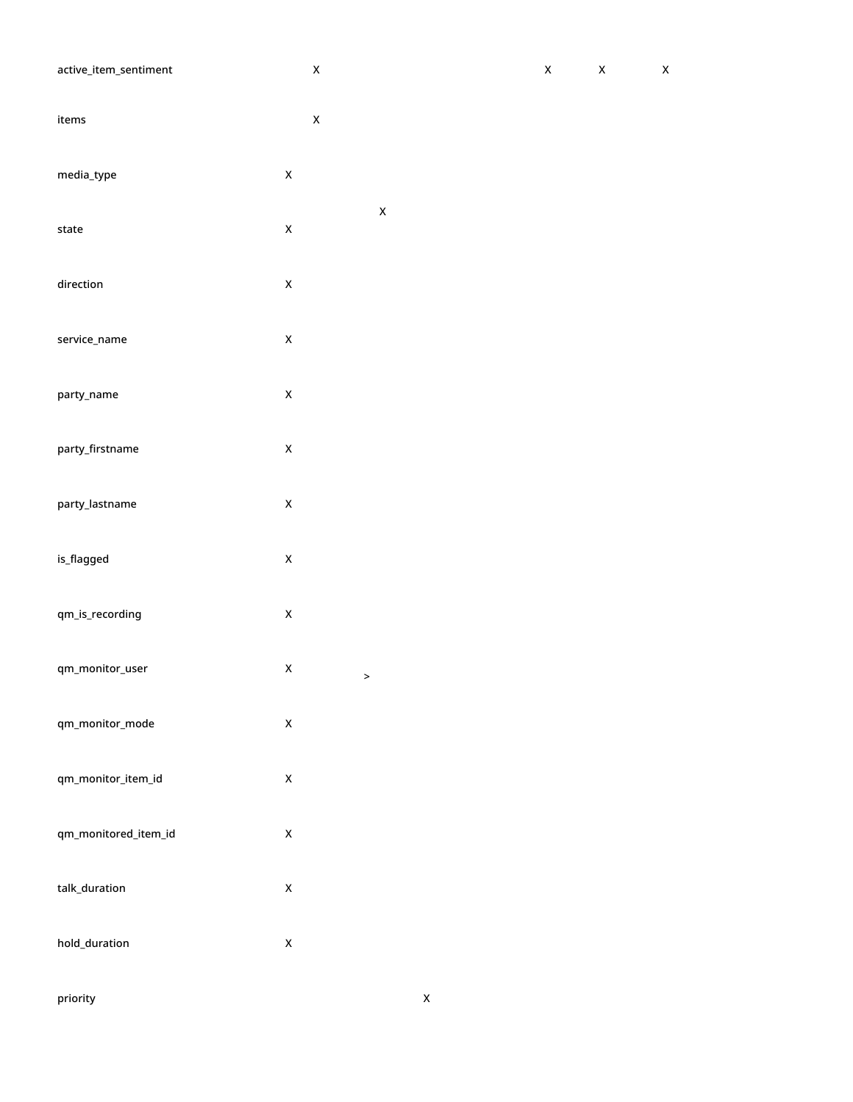| active_item_sentiment                 |                            | $\mathsf X$        | $\mathsf X$ | $\mathsf X$ | $\mathsf X$ |
|---------------------------------------|----------------------------|--------------------|-------------|-------------|-------------|
| ${\sf items}$                         |                            | $\mathsf X$        |             |             |             |
| media_type                            | $\mathsf X$                |                    |             |             |             |
| state                                 | $\mathsf X$                | $\pmb{\mathsf{X}}$ |             |             |             |
| direction                             | $\mathsf X$                |                    |             |             |             |
| service_name                          | $\mathsf X$                |                    |             |             |             |
| party_name                            | $\pmb{\mathsf{X}}$         |                    |             |             |             |
| party_firstname                       | $\mathsf X$                |                    |             |             |             |
| party_lastname                        | $\mathsf X$                |                    |             |             |             |
| is_flagged                            | $\mathsf X$                |                    |             |             |             |
| qm_is_recording                       | $\mathsf X$                |                    |             |             |             |
| qm_monitor_user                       | $\pmb{\mathsf{X}}$         | $\rightarrow$      |             |             |             |
| qm_monitor_mode<br>qm_monitor_item_id | $\mathsf X$<br>$\mathsf X$ |                    |             |             |             |
| qm_monitored_item_id                  | $\mathsf X$                |                    |             |             |             |
| talk_duration                         | $\mathsf X$                |                    |             |             |             |
| hold_duration                         | $\mathsf X$                |                    |             |             |             |
|                                       |                            |                    |             |             |             |

priority **X**